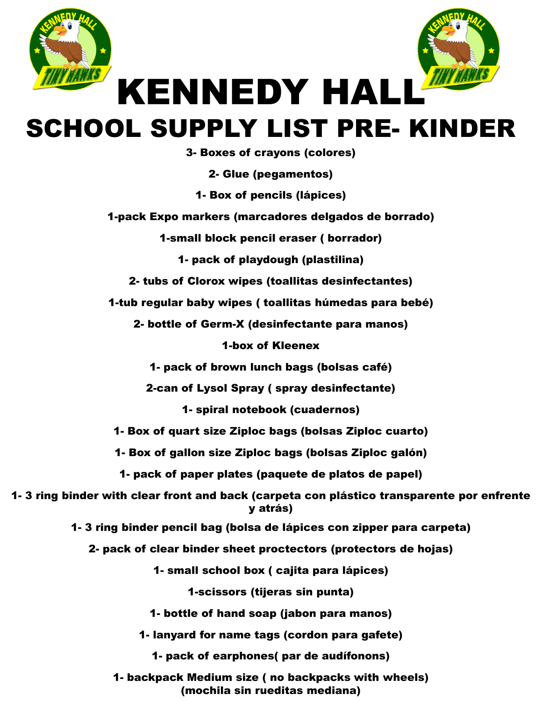



## SCHOOL SUPPLY LIST PRE- KINDER

3- Boxes of crayons (colores)

2- Glue (pegamentos)

1- Box of pencils (lápices)

1-pack Expo markers (marcadores delgados de borrado)

1-small block pencil eraser ( borrador)

1- pack of playdough (plastilina)

2- tubs of Clorox wipes (toallitas desinfectantes)

1-tub regular baby wipes ( toallitas húmedas para bebé)

2- bottle of Germ-X (desinfectante para manos)

1-box of Kleenex

1- pack of brown lunch bags (bolsas café)

2-can of Lysol Spray ( spray desinfectante)

1- spiral notebook (cuadernos)

1- Box of quart size Ziploc bags (bolsas Ziploc cuarto)

1- Box of gallon size Ziploc bags (bolsas Ziploc galón)

1- pack of paper plates (paquete de platos de papel)

1- 3 ring binder with clear front and back (carpeta con plástico transparente por enfrente y atrás)

1- 3 ring binder pencil bag (bolsa de lápices con zipper para carpeta)

2- pack of clear binder sheet proctectors (protectors de hojas)

1- small school box ( cajita para lápices)

1-scissors (tijeras sin punta)

1- bottle of hand soap (jabon para manos)

1- lanyard for name tags (cordon para gafete)

1- pack of earphones( par de audífonons)

1- backpack Medium size ( no backpacks with wheels) (mochila sin rueditas mediana)